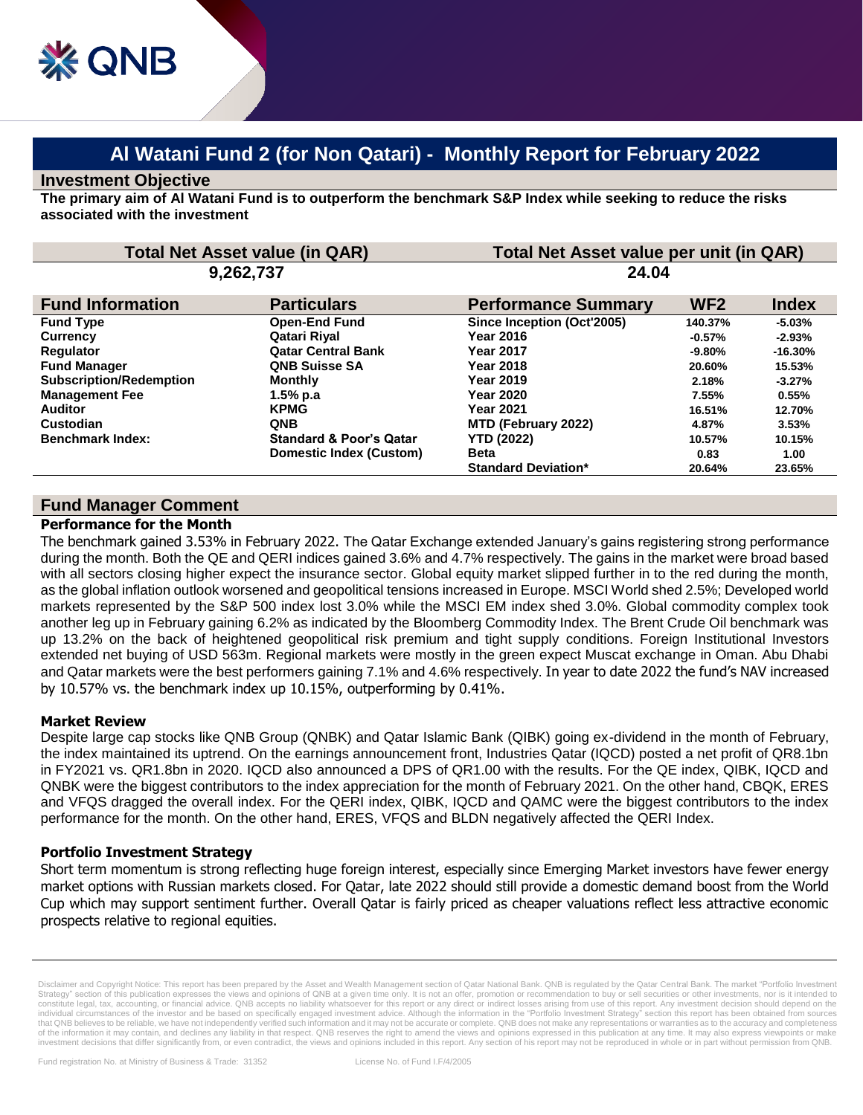# **Al Watani Fund 2 (for Non Qatari) - Monthly Report for February 2022**

# **Investment Objective**

**The primary aim of Al Watani Fund is to outperform the benchmark S&P Index while seeking to reduce the risks associated with the investment**

| <b>Total Net Asset value (in QAR)</b><br>9,262,737 |                                    | Total Net Asset value per unit (in QAR)<br>24.04 |           |           |
|----------------------------------------------------|------------------------------------|--------------------------------------------------|-----------|-----------|
|                                                    |                                    |                                                  |           |           |
| <b>Fund Type</b>                                   | <b>Open-End Fund</b>               | Since Inception (Oct'2005)                       | 140.37%   | $-5.03%$  |
| <b>Currency</b>                                    | Qatari Rival                       | <b>Year 2016</b>                                 | $-0.57%$  | $-2.93%$  |
| <b>Requlator</b>                                   | <b>Qatar Central Bank</b>          | <b>Year 2017</b>                                 | $-9.80\%$ | $-16.30%$ |
| <b>Fund Manager</b>                                | <b>QNB Suisse SA</b>               | <b>Year 2018</b>                                 | 20.60%    | 15.53%    |
| <b>Subscription/Redemption</b>                     | <b>Monthly</b>                     | <b>Year 2019</b>                                 | 2.18%     | $-3.27%$  |
| <b>Management Fee</b>                              | 1.5% p.a                           | <b>Year 2020</b>                                 | 7.55%     | 0.55%     |
| <b>Auditor</b>                                     | <b>KPMG</b>                        | <b>Year 2021</b>                                 | 16.51%    | 12.70%    |
| Custodian                                          | <b>QNB</b>                         | MTD (February 2022)                              | 4.87%     | 3.53%     |
| <b>Benchmark Index:</b>                            | <b>Standard &amp; Poor's Qatar</b> | <b>YTD (2022)</b>                                | 10.57%    | 10.15%    |
|                                                    | Domestic Index (Custom)            | <b>Beta</b>                                      | 0.83      | 1.00      |
|                                                    |                                    | <b>Standard Deviation*</b>                       | 20.64%    | 23.65%    |

# **Fund Manager Comment**

# **Performance for the Month**

The benchmark gained 3.53% in February 2022. The Qatar Exchange extended January's gains registering strong performance during the month. Both the QE and QERI indices gained 3.6% and 4.7% respectively. The gains in the market were broad based with all sectors closing higher expect the insurance sector. Global equity market slipped further in to the red during the month, as the global inflation outlook worsened and geopolitical tensions increased in Europe. MSCI World shed 2.5%; Developed world markets represented by the S&P 500 index lost 3.0% while the MSCI EM index shed 3.0%. Global commodity complex took another leg up in February gaining 6.2% as indicated by the Bloomberg Commodity Index. The Brent Crude Oil benchmark was up 13.2% on the back of heightened geopolitical risk premium and tight supply conditions. Foreign Institutional Investors extended net buying of USD 563m. Regional markets were mostly in the green expect Muscat exchange in Oman. Abu Dhabi and Qatar markets were the best performers gaining 7.1% and 4.6% respectively. In year to date 2022 the fund's NAV increased by 10.57% vs. the benchmark index up 10.15%, outperforming by 0.41%.

# **Market Review**

Despite large cap stocks like QNB Group (QNBK) and Qatar Islamic Bank (QIBK) going ex-dividend in the month of February, the index maintained its uptrend. On the earnings announcement front, Industries Qatar (IQCD) posted a net profit of QR8.1bn in FY2021 vs. QR1.8bn in 2020. IQCD also announced a DPS of QR1.00 with the results. For the QE index, QIBK, IQCD and QNBK were the biggest contributors to the index appreciation for the month of February 2021. On the other hand, CBQK, ERES and VFQS dragged the overall index. For the QERI index, QIBK, IQCD and QAMC were the biggest contributors to the index performance for the month. On the other hand, ERES, VFQS and BLDN negatively affected the QERI Index.

# **Portfolio Investment Strategy**

Short term momentum is strong reflecting huge foreign interest, especially since Emerging Market investors have fewer energy market options with Russian markets closed. For Qatar, late 2022 should still provide a domestic demand boost from the World Cup which may support sentiment further. Overall Qatar is fairly priced as cheaper valuations reflect less attractive economic prospects relative to regional equities.

Disclaimer and Copyright Notice: This report has been prepared by the Asset and Wealth Management section of Qatar National Bank. QNB is regulated by the Qatar Central Bank. The market "Portfolio Investm Strategy" section of this publication expresses the views and opinions of QNB at a given time only. It is not an offer, promotion or recommendation to buy or sell securities or other investments, nor is it intended to<br>cons individual circumstances of the investor and be based on specifically engaged investment advice. Although the information in the "Portfolio Investment Strategy" section this report has been obtained from sources that QNB believes to be reliable, we have not independently verified such information and it may not be accurate or complete. QNB does not make any representations or warranties as to the accuracy and completeness of the information it may contain, and declines any liability in that respect. QNB reserves the right to amend the views and opinions expressed in this publication at any time. It may also express viewpoints or make investment decisions that differ significantly from, or even contradict, the views and opinions included in this report. Any section of his report may not be reproduced in whole or in part without permission from QNB.